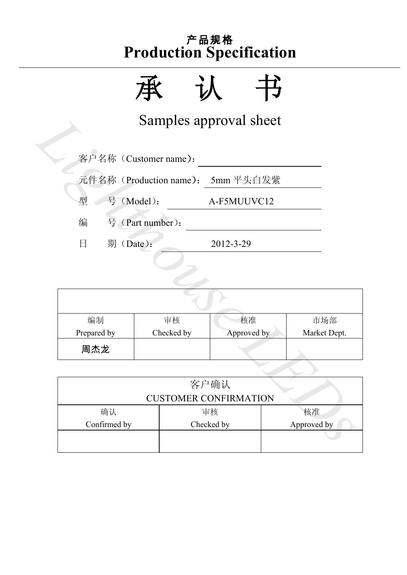承认书

Samples approval sheet

|                         |                                      | Samples approval sheet |              |  |  |  |  |
|-------------------------|--------------------------------------|------------------------|--------------|--|--|--|--|
|                         | 客户名称 (Customer name):                |                        |              |  |  |  |  |
|                         | 元件名称 (Production name):<br>5mm 平头白发紫 |                        |              |  |  |  |  |
| 号 (Model):<br>型         |                                      | A-F5MUUVC12            |              |  |  |  |  |
| 编                       | 号 (Part number):                     |                        |              |  |  |  |  |
| 期(Date):<br>$\boxminus$ |                                      | 2012-3-29              |              |  |  |  |  |
|                         |                                      |                        |              |  |  |  |  |
|                         |                                      |                        |              |  |  |  |  |
|                         |                                      |                        |              |  |  |  |  |
| 编制                      | 审核                                   | 核准                     | 市场部          |  |  |  |  |
| Prepared by             | Checked by                           | Approved by            | Market Dept. |  |  |  |  |
| 周杰龙                     |                                      |                        |              |  |  |  |  |
|                         |                                      |                        |              |  |  |  |  |
|                         |                                      | 客户确认                   |              |  |  |  |  |
|                         | <b>CUSTOMER CONFIRMATION</b>         |                        |              |  |  |  |  |
| 确认                      | 核准<br>审核                             |                        |              |  |  |  |  |
| Confirmed by            |                                      | Checked by             | Approved by  |  |  |  |  |
|                         |                                      |                        |              |  |  |  |  |

|              | 客户确认                         |             |
|--------------|------------------------------|-------------|
|              | <b>CUSTOMER CONFIRMATION</b> |             |
| 确认           | 审核                           | 核准          |
| Confirmed by | Checked by                   | Approved by |
|              |                              |             |
|              |                              |             |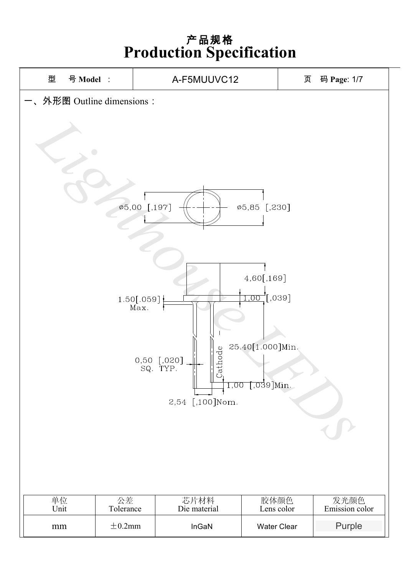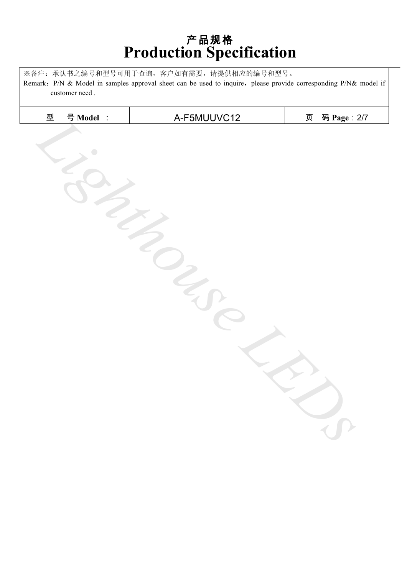※备注:承认书之编号和型号可用于查询,客户如有需要,请提供相应的编号和型号。

Remark: P/N & Model in samples approval sheet can be used to inquire, please provide corresponding P/N& model if customer need .

| 型<br>A-F5MUUVC12<br>号 Model :<br>码 Page: 2/7<br>页 |  |
|---------------------------------------------------|--|
|                                                   |  |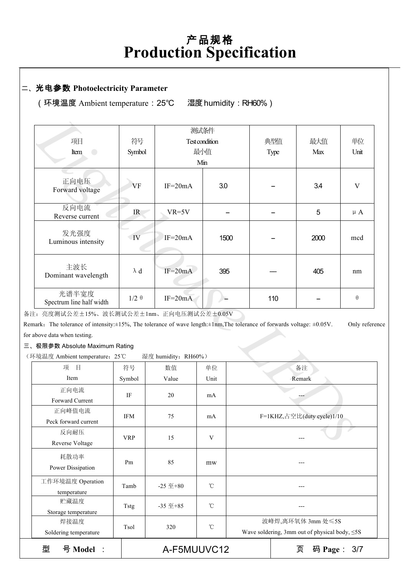#### 二、光电参数 **Photoelectricity Parameter**

(环境温度 Ambient temperature:25℃ 湿度humidity:RH60%)

|                                                                                                                                            |              |                     | 测试条件           |                            | 典型值  |      |              |
|--------------------------------------------------------------------------------------------------------------------------------------------|--------------|---------------------|----------------|----------------------------|------|------|--------------|
| 项目                                                                                                                                         | 符号           |                     | Test condition |                            |      | 最大值  | 单位           |
| Item<br>$\overline{\phantom{0}}$                                                                                                           | Symbol       |                     | 最小值            |                            | Type | Max  | Unit         |
|                                                                                                                                            |              |                     | Min            |                            |      |      |              |
| 正向电压<br>Forward voltage                                                                                                                    | VF           | $IF=20mA$           | 3.0            |                            |      | 3.4  | $\mathbf{V}$ |
| 反向电流<br>Reverse current                                                                                                                    | IR           | $VR=5V$             |                |                            |      | 5    | $\mu A$      |
| 发光强度<br>Luminous intensity                                                                                                                 | IV           | $IF=20mA$           | 1500           |                            |      | 2000 | mcd          |
| 主波长<br>Dominant wavelength                                                                                                                 | $\lambda$ d  | $IF=20mA$           | 395            |                            |      | 405  | nm           |
| 光谱半宽度<br>Spectrum line half width                                                                                                          | $1/2 \theta$ | $IF=20mA$           |                | 110                        |      |      | $\theta$     |
| 注: 亮度测试公差±15%、波长测试公差±1nm、正向电压测试公差±0.05V                                                                                                    |              |                     |                |                            |      |      |              |
| emark. The tolerance of intensity: $\pm 15\%$ , The tolerance of wave length: $\pm 1$ nm, The tolerance of forwards voltage: $\pm 0.05$ V. |              |                     |                |                            |      |      | Only referer |
| r above data when testing.                                                                                                                 |              |                     |                |                            |      |      |              |
| 、极限参数 Absolute Maximum Rating                                                                                                              |              |                     |                |                            |      |      |              |
| 环境温度 Ambient temperature: 25℃                                                                                                              |              | 湿度 humidity: RH60%) |                |                            |      |      |              |
| 项<br>目                                                                                                                                     | 符号           | 数值                  | 单位             | 备注                         |      |      |              |
| Item                                                                                                                                       | Symbol       | Value               | Unit           | Remark                     |      |      |              |
| 正向电流<br>Forward Current                                                                                                                    | IF           | 20                  | mA             |                            |      |      |              |
| 正向峰值电流<br>Peck forward current                                                                                                             | <b>IFM</b>   | 75                  | mA             | F=1KHZ,占空比(duty cycle)1/10 |      |      |              |
| 反向耐压<br>Reverse Voltage                                                                                                                    | <b>VRP</b>   | 15                  | V              |                            |      |      |              |

三、极限参数 Absolute Maximum Rating

| 项<br>目                          | 符号         | 数值               | 单位              | 备注                                                                       |                  |  |
|---------------------------------|------------|------------------|-----------------|--------------------------------------------------------------------------|------------------|--|
| Item                            | Symbol     | Value            | Unit            | Remark                                                                   |                  |  |
| 正向电流<br>Forward Current         | IF         | 20               | mA              |                                                                          |                  |  |
| 正向峰值电流<br>Peck forward current  | <b>IFM</b> | 75               | mA              | F=1KHZ,占空比(duty cycle)1/10                                               |                  |  |
| 反向耐压<br>Reverse Voltage         | <b>VRP</b> | 15               | V               |                                                                          |                  |  |
| 耗散功率<br>Power Dissipation       | Pm         | 85               | mw              |                                                                          |                  |  |
| 工作环境温度 Operation<br>temperature | Tamb       | $-25 \ncong +80$ | $\mathcal{C}$   |                                                                          |                  |  |
| 贮藏温度<br>Storage temperature     | Tstg       | $-35 \n  \pm 85$ | $\rm ^{\circ}C$ |                                                                          |                  |  |
| 焊接温度<br>Soldering temperature   | Tsol       | 320              | $\mathcal{C}$   | 波峰焊,离环氧体 3mm 处≤5S<br>Wave soldering, 3mm out of physical body, $\leq$ 5S |                  |  |
| 型<br>号 Model :                  |            | A-F5MUUVC12      |                 |                                                                          | 页<br>码 Page: 3/7 |  |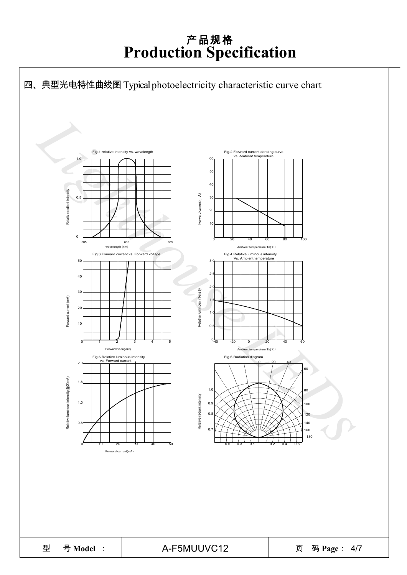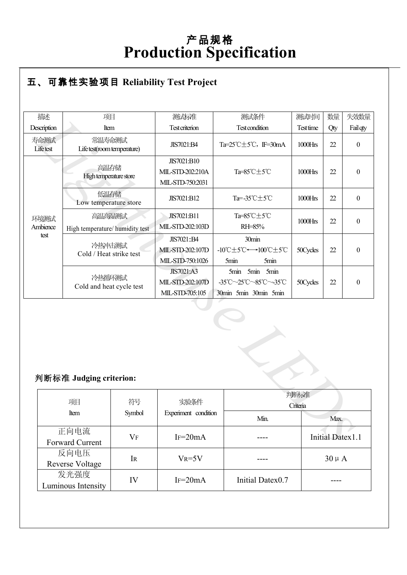#### ● **R** 五、可靠性实验项目 **Reliability Test Project**

| 描述                      | 项目                                        | 测试标准                                                     | 测试条件                                                                          | 测试时间         | 数量                      | 失效数量             |  |  |
|-------------------------|-------------------------------------------|----------------------------------------------------------|-------------------------------------------------------------------------------|--------------|-------------------------|------------------|--|--|
| Description             | Item                                      | <b>Test criterion</b>                                    | <b>Test condition</b>                                                         | Test time    | Qty                     | Fail qty         |  |  |
| 寿命测试<br>Lifetest        | 常温寿命测试<br>Life test(room temperature)     | JIS7021:B4                                               | Ta=25°C±5°C, IF=30mA                                                          | 1000Hrs      | 22                      | $\boldsymbol{0}$ |  |  |
|                         | 高温存储<br>High temperature store            | JIS7021:B10<br>MIL-STD-202:210A<br>MIL-STD-750:2031      | Ta=85°C±5°C                                                                   | 1000Hrs      | 22                      | $\boldsymbol{0}$ |  |  |
|                         | 低温存储<br>Low temperature store             | JIS7021:B12                                              | Ta=-35°C±5°C                                                                  | 1000Hrs      | 22                      | $\mathbf{0}$     |  |  |
| 环境测试<br>Ambience        | 高温高湿测试<br>High temperature/ humidity test | JIS7021:B11<br>MIL-STD-202:103D                          | Ta=85°C±5°C<br>RH=85%                                                         | 1000Hrs      | 22                      | $\boldsymbol{0}$ |  |  |
| test                    | 冷热冲击测试<br>Cold / Heat strike test         | JIS7021::B4<br>MIL-STD-202:107D<br>MIL-STD-750:1026      | 30min<br>-10℃±5℃←→100℃±5℃<br>5min<br>5min                                     | 50Cycles     | 22                      | $\boldsymbol{0}$ |  |  |
|                         | 冷热循环测试<br>Cold and heat cycle test        | <b>JIS7021:A3</b><br>MIL-STD-202:107D<br>MIL-STD-705:105 | <b>5min</b><br>5min<br>5min<br>-35°C~25°C~85°C~-35°C<br>30min 5min 30min 5min | 50Cycles     | 22                      | $\boldsymbol{0}$ |  |  |
| 判断标准 Judging criterion: |                                           |                                                          |                                                                               |              |                         |                  |  |  |
|                         | 判断标准<br>项目<br>符号<br>实验条件<br>Criteria      |                                                          |                                                                               |              |                         |                  |  |  |
|                         | Item<br>Symbol                            | Experiment condition                                     |                                                                               | Min.<br>Max. |                         |                  |  |  |
|                         | 正向电流<br>$V_F$<br><b>Forward Current</b>   | $IF=20mA$                                                |                                                                               |              | <b>Initial Datex1.1</b> |                  |  |  |

#### 判断标准 **Judging criterion:**

| 判断标准 Judging criterion:    |         |                      |                  |                         |  |  |
|----------------------------|---------|----------------------|------------------|-------------------------|--|--|
| 项目                         |         | 判断标准<br>Criteria     |                  |                         |  |  |
| Item                       | Symbol  | Experiment condition | Min.             | Max.                    |  |  |
| 正向电流                       | $V_{F}$ | $IF = 20mA$          |                  | <b>Initial Datex1.1</b> |  |  |
| Forward Current            |         |                      |                  |                         |  |  |
| 反向电压                       | IR      | $V_R = 5V$           |                  | $30 \mu A$              |  |  |
| <b>Reverse Voltage</b>     |         |                      |                  |                         |  |  |
| 发光强度<br>Luminous Intensity | IV      | $IF=20mA$            | Initial Datex0.7 |                         |  |  |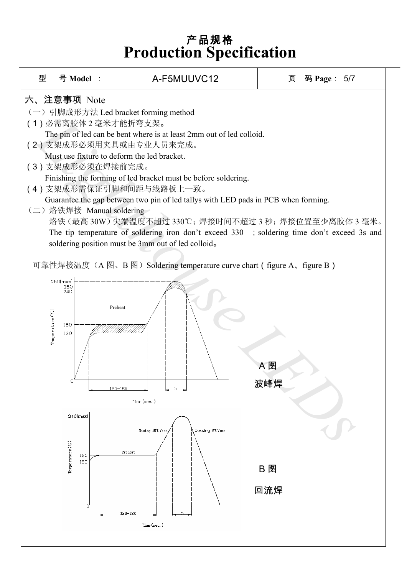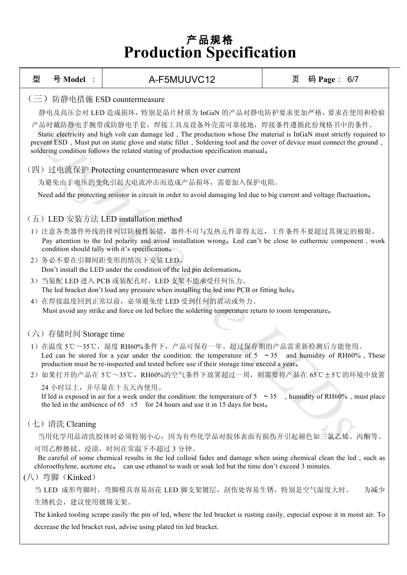| 型  | 号 Model :                                                                                                                                                                                                                                                                                                                                                                                    | A-F5MUUVC12                                                                                                                                                                                                                                                          | 页                                                                   | 码 Page: 6/7 |     |  |  |  |  |  |
|----|----------------------------------------------------------------------------------------------------------------------------------------------------------------------------------------------------------------------------------------------------------------------------------------------------------------------------------------------------------------------------------------------|----------------------------------------------------------------------------------------------------------------------------------------------------------------------------------------------------------------------------------------------------------------------|---------------------------------------------------------------------|-------------|-----|--|--|--|--|--|
|    | 防静电措施 ESD countermeasure<br>$\left(\equiv\right)$                                                                                                                                                                                                                                                                                                                                            |                                                                                                                                                                                                                                                                      |                                                                     |             |     |  |  |  |  |  |
|    | 静电及高压会对 LED 造成损坏, 特别是晶片材质为 InGaN 的产品对静电防护要求更加严格, 要求在使用和检验                                                                                                                                                                                                                                                                                                                                    |                                                                                                                                                                                                                                                                      |                                                                     |             |     |  |  |  |  |  |
|    | 产品时戴防静电手腕带或防静电手套,焊接工具及设备外壳需可靠接地,焊接条件遵循此份规格书中的条件。<br>Static electricity and high volt can damage led, The production whose Die material is InGaN must strictly required to<br>prevent ESD, Must put on static glove and static fillet, Soldering tool and the cover of device must connect the ground,<br>soldering condition follows the related stating of production specification manual. |                                                                                                                                                                                                                                                                      |                                                                     |             |     |  |  |  |  |  |
|    | (四) 过电流保护 Protecting countermeasure when over current                                                                                                                                                                                                                                                                                                                                        |                                                                                                                                                                                                                                                                      |                                                                     |             |     |  |  |  |  |  |
|    |                                                                                                                                                                                                                                                                                                                                                                                              | 为避免由于电压的变化引起大电流冲击而造成产品损坏,需要加入保护电阻。                                                                                                                                                                                                                                   |                                                                     |             |     |  |  |  |  |  |
|    |                                                                                                                                                                                                                                                                                                                                                                                              | Need add the protecting resistor in circuit in order to avoid damaging led due to big current and voltage fluctuation.                                                                                                                                               |                                                                     |             |     |  |  |  |  |  |
|    |                                                                                                                                                                                                                                                                                                                                                                                              | (五) LED 安装方法 LED installation method                                                                                                                                                                                                                                 |                                                                     |             |     |  |  |  |  |  |
|    |                                                                                                                                                                                                                                                                                                                                                                                              | 1) 注意各类器件外线的排列以防极性装错,器件不可与发热元件靠得太近,工作条件不要超过其规定的极限。<br>Pay attention to the led polarity and avoid installation wrong. Led can't be close to euthermic component, work<br>condition should tally with it's specification.                                             |                                                                     |             |     |  |  |  |  |  |
|    |                                                                                                                                                                                                                                                                                                                                                                                              | 2) 务必不要在引脚间距变形的情况下安装 LED。<br>Don't install the LED under the condition of the led pin deformation.                                                                                                                                                                   |                                                                     |             |     |  |  |  |  |  |
|    |                                                                                                                                                                                                                                                                                                                                                                                              | 3) 当装配 LED 进入 PCB 或装配孔时, LED 支架不能承受任何压力。<br>The led bracket don't load any pressure when installing the led into PCB or fitting hole.                                                                                                                                |                                                                     |             |     |  |  |  |  |  |
|    |                                                                                                                                                                                                                                                                                                                                                                                              | 4) 在焊接温度回到正常以前, 必须避免使 LED 受到任何的震动或外力。<br>Must avoid any strike and force on led before the soldering temperature return to room temperature.                                                                                                                         |                                                                     |             |     |  |  |  |  |  |
|    | (六) 存储时间 Storage time                                                                                                                                                                                                                                                                                                                                                                        |                                                                                                                                                                                                                                                                      |                                                                     |             |     |  |  |  |  |  |
|    |                                                                                                                                                                                                                                                                                                                                                                                              | 1) 在温度 5℃~35℃,湿度 RH60%条件下,产品可保存一年。超过保存期的产品需重新检测后方能使用。<br>Led can be stored for a year under the condition: the temperature of $5 \sim 35$ and humidity of RH60%, These<br>production must be re-inspected and tested before use if their storage time exceed a year. |                                                                     |             |     |  |  |  |  |  |
| 2) |                                                                                                                                                                                                                                                                                                                                                                                              | 如果打开的产品在 5℃~35℃,RH60%的空气条件下放置超过一周,则需要将产品在 65℃±5℃的环境中放置                                                                                                                                                                                                               |                                                                     |             |     |  |  |  |  |  |
|    |                                                                                                                                                                                                                                                                                                                                                                                              | 24 小时以上,并尽量在十五天内使用。<br>If led is exposed in air for a week under the condition: the temperature of $5 \sim 35$ , humidity of RH60%, must place<br>the led in the ambience of 65 $\pm$ 5 for 24 hours and use it in 15 days for best.                                 |                                                                     |             |     |  |  |  |  |  |
|    | (七) 清洗 Cleaning                                                                                                                                                                                                                                                                                                                                                                              |                                                                                                                                                                                                                                                                      |                                                                     |             |     |  |  |  |  |  |
|    |                                                                                                                                                                                                                                                                                                                                                                                              | 当用化学用品清洗胶体时必须特别小心,因为有些化学品对胶体表面有损伤并引起褪色如三氯乙烯、丙酮等。                                                                                                                                                                                                                     |                                                                     |             |     |  |  |  |  |  |
|    | (八) 弯脚 (Kinked)                                                                                                                                                                                                                                                                                                                                                                              | 可用乙醇擦拭、浸渍, 时间在常温下不超过 3 分钟。<br>Be careful of some chemical results in the led colloid fades and damage when using chemical clean the led, such as<br>chloroethylene, acetone etc. can use ethanol to wash or soak led but the time don't exceed 3 minutes.            |                                                                     |             |     |  |  |  |  |  |
|    |                                                                                                                                                                                                                                                                                                                                                                                              | 当 LED 成形弯脚时,弯脚模具容易刮花 LED 脚支架镀层,刮伤处容易生锈,特别是空气湿度大时。                                                                                                                                                                                                                    |                                                                     |             | 为减少 |  |  |  |  |  |
|    | 生锈机会, 建议使用镀锡支架。                                                                                                                                                                                                                                                                                                                                                                              |                                                                                                                                                                                                                                                                      |                                                                     |             |     |  |  |  |  |  |
|    | The kinked tooling scrape easily the pin of led, where the led bracket is rusting easily, especial expose it in moist air. To                                                                                                                                                                                                                                                                |                                                                                                                                                                                                                                                                      |                                                                     |             |     |  |  |  |  |  |
|    |                                                                                                                                                                                                                                                                                                                                                                                              |                                                                                                                                                                                                                                                                      | decrease the led bracket rust, advise using plated tin led bracket. |             |     |  |  |  |  |  |